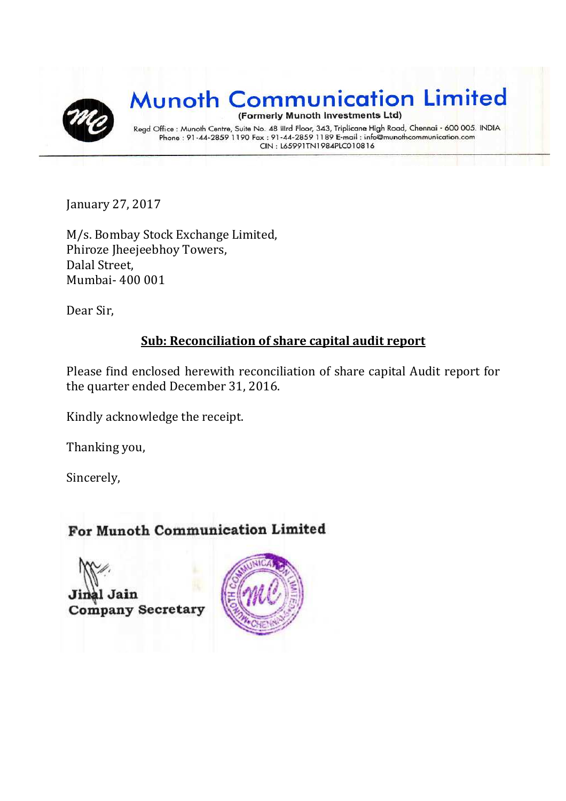

January 27, 2017

M/s. Bombay Stock Exchange Limited, Phiroze Jheejeebhoy Towers, Dalal Street, Mumbai- 400 001

Dear Sir,

#### **Sub: Reconciliation of share capital audit report**

Please find enclosed herewith reconciliation of share capital Audit report for the quarter ended December 31, 2016.

Kindly acknowledge the receipt.

Thanking you,

Sincerely,

#### For Munoth Communication Limited

Jain **Company Secretary** 

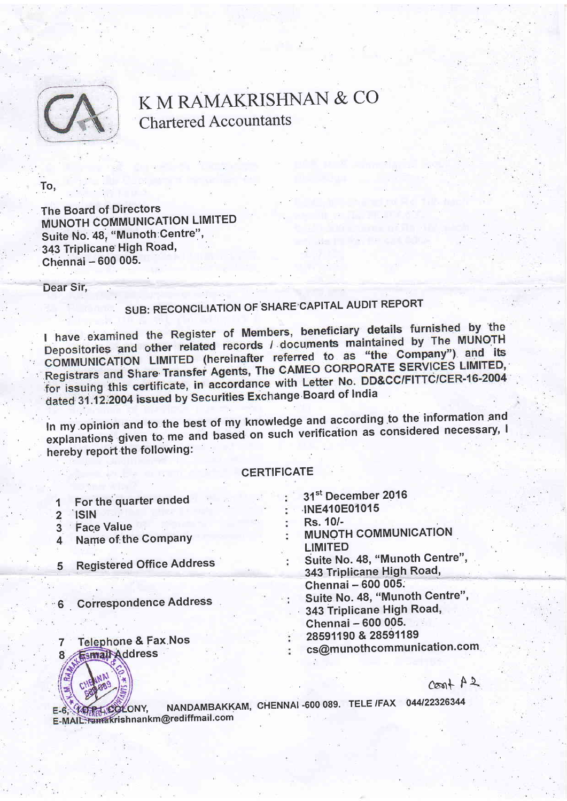

# K M RAMAKRISHNAN & CO Chartered Accountants

To.

The Board of Directors **MUNOTH COMMUNICATION LIMITED** Suite No. 48, "Munoth:Centre", 343 Triplicane High Road, Chennai - 600 005.

Dear Sir,

## SUB: REGONCILIATiON OF SHARE CAPITAL AUDIT REPORT

I have examined the Register of Members, beneficiary details furnished by the I have examined the Register of Members, beneficially dominate the MUNOTH<br>Depositories and other related records / documents maintained by The MUNOTH Depositories and other related records / documents maintained by the<br>COMMUNICATION LIMITED (hereinafter referred to as "the Company") and its<br>COMMUNICATION LIMITED (Annual The CAMEO CORPORATE SERVICES LIMITED, COMMUNICATION LIMITED (hereinatter referred to as the company of LIMITED,<br>Registrars and Share Transfer Agents, The CAMEO CORPORATE SERVICES LIMITED, for issuing this certificate, in accordance with Letter No. DD&CC/FITTC/CER-16-2004<br>dated 31.12.2004 issued by Securities Exchange Board of India

in my opinion and to the best of my knowledge and according to the information and<br>In my opinion and to the best of my knowledge and according as considered necessary, I explanations given to me and based on such verification as considered necessary, I hereby report the following:

#### **CERTIFICATE**

| 5 | For the quarter ended<br><b>ISIN</b><br><b>Face Value</b><br>Name of the Company<br><b>Registered Office Address</b> |  | 31 <sup>st</sup> December 2016<br>INE410E01015<br>Rs. 10/-<br><b>MUNOTH COMMUNICATION</b><br>LIMITED<br>Suite No. 48, "Munoth Centre",<br>343 Triplicane High Road,<br>Chennai - 600 005.<br>Suite No. 48, "Munoth Centre",<br>343 Triplicane High Road,<br>Chennai - 600 005.<br>28591190 & 28591189 |  |
|---|----------------------------------------------------------------------------------------------------------------------|--|-------------------------------------------------------------------------------------------------------------------------------------------------------------------------------------------------------------------------------------------------------------------------------------------------------|--|
|   | 6 Correspondence Address                                                                                             |  |                                                                                                                                                                                                                                                                                                       |  |
|   | <b>Telephone &amp; Fax Nos</b><br>Esmail Address                                                                     |  | cs@munothcommunication.com                                                                                                                                                                                                                                                                            |  |



 $Cosh A 2$ 

NY, NANDAMBAKKAM, CHENNAI -600 089. TELE /FAX 044/22326344 E-MAIL. ramakrishnankm@red iffmail.com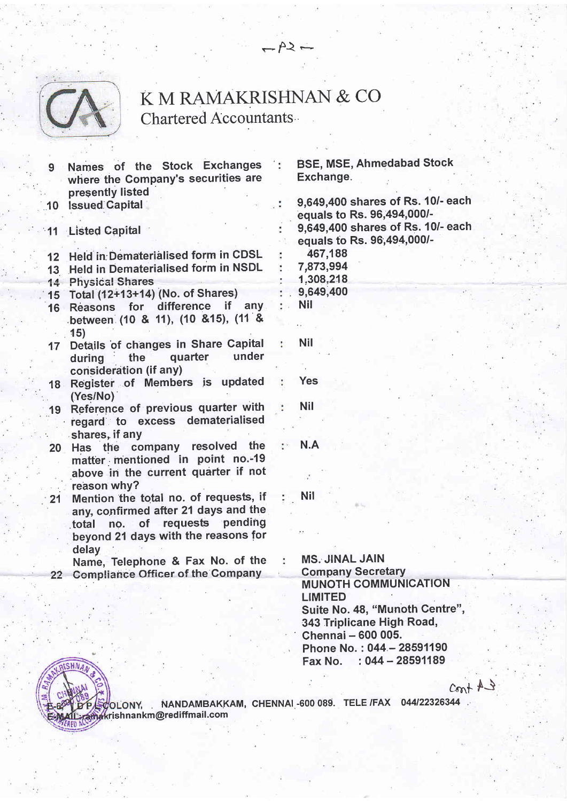

### K M RAMAKRISHNAN & CO Chartered Accountants

 $-A$  -

- 10 Issued Capital Names of the Stock Exchanges where the Company's securities are presently listed
- 11 Listed Capital

12 Held in Dematerialised form in CDSL

- 13 Held in Dematerialised form in NSDL
- 14 Physical Shares
- 15 Total (12+13+14) (No. of Shares)
- 16 Reasons for difference if any between (10 & 11), (10 & 15), (11 & 1s)
- 17 Details of changes in Share Capital during ' the quarter under consideration (if anY)
- 18 Register of Members is updated (Yes/No)
- 19 Reference of previous quarter with regard to excess dematerialised shares, if any
- 20 Has the company resolved the matter mentioned in point no.-19 above in the current quarter if not reason whY?
- 21 Mention the total no. of requests, if any, confirmed after 21 days and the total no. of requests pending . beyond 21 days with the reasons for delay

Name, Telephone & Fax No. of the 22 Compliance Officer of the Company

BSE, MSE, Ahmedabad Stock Exchange

9,649,400 shares of Rs. 10/- each equals to Rs. 96,494,0001- 9,649,400 shares of Rs. 10/- each equals to Rs. 96,494,000/-467,188 7.873,994 1,308,218 . 9,649,400 Nil Nil

Yes Nil

N.A

Nil

**MS. JINAL JAIN** Company SecretarY MUNOTH COMMUNICATION LIMITED Suite No. 48, "Munoth Centre", 343 Triplicane High Road,<br>Chennai – 600 005. Phone No.: 044 - 28591190 Fax No.  $:044 - 28591189$ 

 $cont 13$ 



, NANDAMBAKKAM, CHENNAI 600 089. TELE /FAX 044/22326344 rish nankm@red iffmail.com